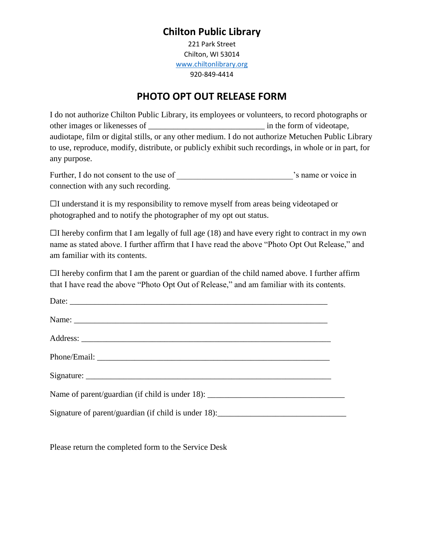# **Chilton Public Library**

221 Park Street Chilton, WI 53014 [www.chiltonlibrary.org](http://www.chiltonlibrary.org/) 920-849-4414

# **PHOTO OPT OUT RELEASE FORM**

I do not authorize Chilton Public Library, its employees or volunteers, to record photographs or other images or likenesses of \_\_\_\_\_\_\_\_\_\_\_\_\_\_\_\_\_\_\_\_\_\_\_\_\_\_\_\_ in the form of videotape, audiotape, film or digital stills, or any other medium. I do not authorize Metuchen Public Library to use, reproduce, modify, distribute, or publicly exhibit such recordings, in whole or in part, for any purpose.

| Further, I do not consent to the use of | s name or voice in |
|-----------------------------------------|--------------------|
| connection with any such recording.     |                    |

 $\Box$ I understand it is my responsibility to remove myself from areas being videotaped or photographed and to notify the photographer of my opt out status.

 $\Box$ I hereby confirm that I am legally of full age (18) and have every right to contract in my own name as stated above. I further affirm that I have read the above "Photo Opt Out Release," and am familiar with its contents.

 $\Box$ I hereby confirm that I am the parent or guardian of the child named above. I further affirm that I have read the above "Photo Opt Out of Release," and am familiar with its contents.

| Date: $\frac{1}{\sqrt{1-\frac{1}{2}}\left(\frac{1}{2}-\frac{1}{2}\right)}$                                                                                                                                                                                                     |  |
|--------------------------------------------------------------------------------------------------------------------------------------------------------------------------------------------------------------------------------------------------------------------------------|--|
|                                                                                                                                                                                                                                                                                |  |
|                                                                                                                                                                                                                                                                                |  |
|                                                                                                                                                                                                                                                                                |  |
|                                                                                                                                                                                                                                                                                |  |
| Name of parent/guardian (if child is under 18): $\frac{1}{2}$ [18] $\frac{1}{2}$ [18] $\frac{1}{2}$ [18] $\frac{1}{2}$ [18] $\frac{1}{2}$ [18] $\frac{1}{2}$ [18] $\frac{1}{2}$ [18] $\frac{1}{2}$ [18] $\frac{1}{2}$ [18] $\frac{1}{2}$ [18] $\frac{1}{2}$ [18] $\frac{1}{2}$ |  |
|                                                                                                                                                                                                                                                                                |  |

Please return the completed form to the Service Desk